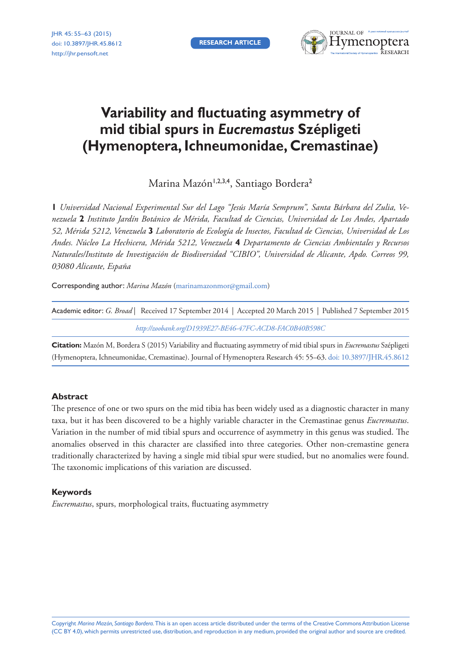**RESEARCH ARTICLE**



# **Variability and fluctuating asymmetry of mid tibial spurs in** *Eucremastus* **Szépligeti (Hymenoptera, Ichneumonidae, Cremastinae)**

Marina Mazón<sup>1,2,3,4</sup>, Santiago Bordera<sup>2</sup>

**1** *Universidad Nacional Experimental Sur del Lago "Jesús María Semprum", Santa Bárbara del Zulia, Venezuela* **2** *Instituto Jardín Botánico de Mérida, Facultad de Ciencias, Universidad de Los Andes, Apartado 52, Mérida 5212, Venezuela* **3** *Laboratorio de Ecología de Insectos, Facultad de Ciencias, Universidad de Los Andes. Núcleo La Hechicera, Mérida 5212, Venezuela* **4** *Departamento de Ciencias Ambientales y Recursos Naturales/Instituto de Investigación de Biodiversidad "CIBIO", Universidad de Alicante, Apdo. Correos 99, 03080 Alicante, España*

Corresponding author: *Marina Mazón* ([marinamazonmor@gmail.com](mailto:marinamazonmor@gmail.com))

| Academic editor: G. Broad   Received 17 September 2014   Accepted 20 March 2015   Published 7 September 2015 |
|--------------------------------------------------------------------------------------------------------------|
| http://zoobank.org/D1939E27-BE46-47FC-ACD8-FAC0B40B598C                                                      |

**Citation:** Mazón M, Bordera S (2015) Variability and fluctuating asymmetry of mid tibial spurs in *Eucremastus* Szépligeti (Hymenoptera, Ichneumonidae, Cremastinae). Journal of Hymenoptera Research 45: 55–63. [doi: 10.3897/JHR.45.8612](http://dx.doi.org/10.3897/JHR.45.8612)

# **Abstract**

The presence of one or two spurs on the mid tibia has been widely used as a diagnostic character in many taxa, but it has been discovered to be a highly variable character in the Cremastinae genus *Eucremastus*. Variation in the number of mid tibial spurs and occurrence of asymmetry in this genus was studied. The anomalies observed in this character are classified into three categories. Other non-cremastine genera traditionally characterized by having a single mid tibial spur were studied, but no anomalies were found. The taxonomic implications of this variation are discussed.

## **Keywords**

*Eucremastus*, spurs, morphological traits, fluctuating asymmetry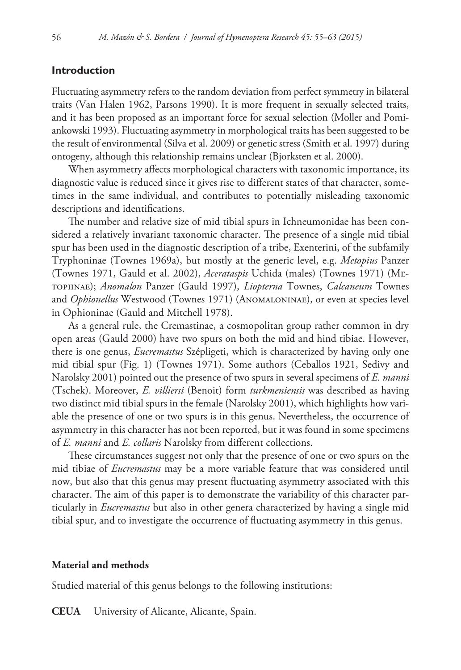# **Introduction**

Fluctuating asymmetry refers to the random deviation from perfect symmetry in bilateral traits (Van Halen 1962, Parsons 1990). It is more frequent in sexually selected traits, and it has been proposed as an important force for sexual selection (Moller and Pomiankowski 1993). Fluctuating asymmetry in morphological traits has been suggested to be the result of environmental (Silva et al. 2009) or genetic stress (Smith et al. 1997) during ontogeny, although this relationship remains unclear (Bjorksten et al. 2000).

When asymmetry affects morphological characters with taxonomic importance, its diagnostic value is reduced since it gives rise to different states of that character, sometimes in the same individual, and contributes to potentially misleading taxonomic descriptions and identifications.

The number and relative size of mid tibial spurs in Ichneumonidae has been considered a relatively invariant taxonomic character. The presence of a single mid tibial spur has been used in the diagnostic description of a tribe, Exenterini, of the subfamily Tryphoninae (Townes 1969a), but mostly at the generic level, e.g. *Metopius* Panzer (Townes 1971, Gauld et al. 2002), *Acerataspis* Uchida (males) (Townes 1971) (Metopiinae); *Anomalon* Panzer (Gauld 1997), *Liopterna* Townes, *Calcaneum* Townes and *Ophionellus* Westwood (Townes 1971) (Anomaloninae), or even at species level in Ophioninae (Gauld and Mitchell 1978).

As a general rule, the Cremastinae, a cosmopolitan group rather common in dry open areas (Gauld 2000) have two spurs on both the mid and hind tibiae. However, there is one genus, *Eucremastus* Szépligeti, which is characterized by having only one mid tibial spur (Fig. 1) (Townes 1971). Some authors (Ceballos 1921, Sedivy and Narolsky 2001) pointed out the presence of two spurs in several specimens of *E. manni*  (Tschek). Moreover, *E. villiersi* (Benoit) form *turkmeniensis* was described as having two distinct mid tibial spurs in the female (Narolsky 2001), which highlights how variable the presence of one or two spurs is in this genus. Nevertheless, the occurrence of asymmetry in this character has not been reported, but it was found in some specimens of *E. manni* and *E. collaris* Narolsky from different collections.

These circumstances suggest not only that the presence of one or two spurs on the mid tibiae of *Eucremastus* may be a more variable feature that was considered until now, but also that this genus may present fluctuating asymmetry associated with this character. The aim of this paper is to demonstrate the variability of this character particularly in *Eucremastus* but also in other genera characterized by having a single mid tibial spur, and to investigate the occurrence of fluctuating asymmetry in this genus.

## **Material and methods**

Studied material of this genus belongs to the following institutions:

**CEUA** University of Alicante, Alicante, Spain.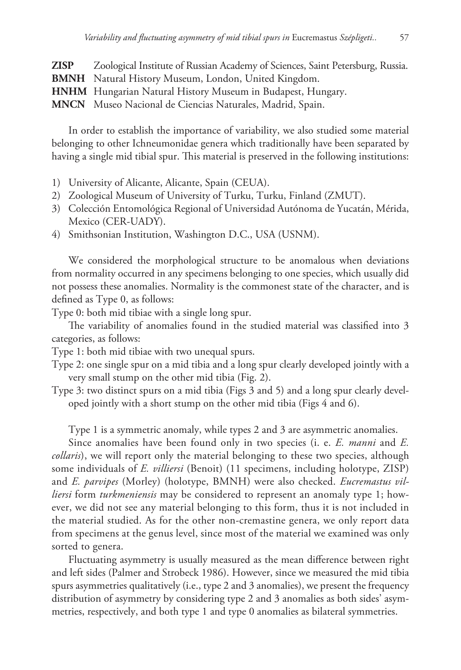**ZISP** Zoological Institute of Russian Academy of Sciences, Saint Petersburg, Russia. **BMNH** Natural History Museum, London, United Kingdom. **HNHM** Hungarian Natural History Museum in Budapest, Hungary. **MNCN** Museo Nacional de Ciencias Naturales, Madrid, Spain.

In order to establish the importance of variability, we also studied some material belonging to other Ichneumonidae genera which traditionally have been separated by having a single mid tibial spur. This material is preserved in the following institutions:

- 1) University of Alicante, Alicante, Spain (CEUA).
- 2) Zoological Museum of University of Turku, Turku, Finland (ZMUT).
- 3) Colección Entomológica Regional of Universidad Autónoma de Yucatán, Mérida, Mexico (CER-UADY).
- 4) Smithsonian Institution, Washington D.C., USA (USNM).

We considered the morphological structure to be anomalous when deviations from normality occurred in any specimens belonging to one species, which usually did not possess these anomalies. Normality is the commonest state of the character, and is defined as Type 0, as follows:

Type 0: both mid tibiae with a single long spur.

The variability of anomalies found in the studied material was classified into 3 categories, as follows:

Type 1: both mid tibiae with two unequal spurs.

- Type 2: one single spur on a mid tibia and a long spur clearly developed jointly with a very small stump on the other mid tibia (Fig. 2).
- Type 3: two distinct spurs on a mid tibia (Figs 3 and 5) and a long spur clearly developed jointly with a short stump on the other mid tibia (Figs 4 and 6).

Type 1 is a symmetric anomaly, while types 2 and 3 are asymmetric anomalies.

Since anomalies have been found only in two species (i. e. *E. manni* and *E. collaris*), we will report only the material belonging to these two species, although some individuals of *E. villiersi* (Benoit) (11 specimens, including holotype, ZISP) and *E. parvipes* (Morley) (holotype, BMNH) were also checked. *Eucremastus villiersi* form *turkmeniensis* may be considered to represent an anomaly type 1; however, we did not see any material belonging to this form, thus it is not included in the material studied. As for the other non-cremastine genera, we only report data from specimens at the genus level, since most of the material we examined was only sorted to genera.

Fluctuating asymmetry is usually measured as the mean difference between right and left sides (Palmer and Strobeck 1986). However, since we measured the mid tibia spurs asymmetries qualitatively (i.e., type 2 and 3 anomalies), we present the frequency distribution of asymmetry by considering type 2 and 3 anomalies as both sides' asymmetries, respectively, and both type 1 and type 0 anomalies as bilateral symmetries.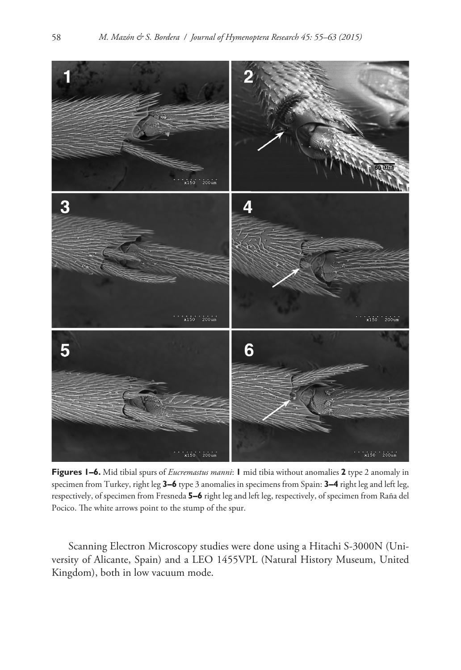

**Figures 1–6.** Mid tibial spurs of *Eucremastus manni*: **1** mid tibia without anomalies **2** type 2 anomaly in specimen from Turkey, right leg **3–6** type 3 anomalies in specimens from Spain: **3–4** right leg and left leg, respectively, of specimen from Fresneda **5–6** right leg and left leg, respectively, of specimen from Raña del Pocico. The white arrows point to the stump of the spur.

Scanning Electron Microscopy studies were done using a Hitachi S-3000N (University of Alicante, Spain) and a LEO 1455VPL (Natural History Museum, United Kingdom), both in low vacuum mode.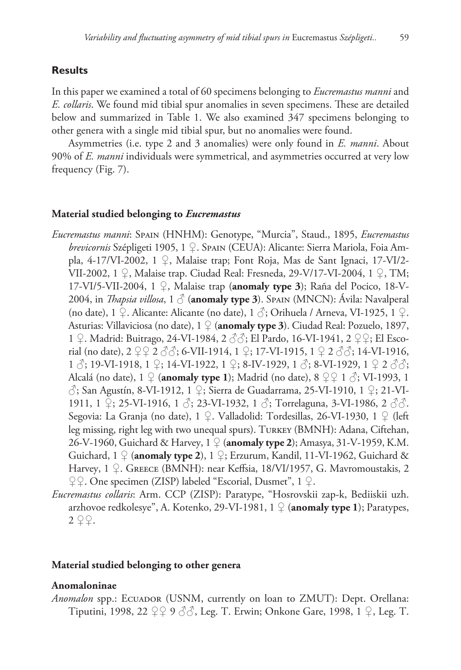# **Results**

In this paper we examined a total of 60 specimens belonging to *Eucremastus manni* and *E. collaris*. We found mid tibial spur anomalies in seven specimens. These are detailed below and summarized in Table 1. We also examined 347 specimens belonging to other genera with a single mid tibial spur, but no anomalies were found.

Asymmetries (i.e. type 2 and 3 anomalies) were only found in *E. manni*. About 90% of *E. manni* individuals were symmetrical, and asymmetries occurred at very low frequency (Fig. 7).

#### **Material studied belonging to** *Eucremastus*

- *Eucremastus manni*: Spain (HNHM): Genotype, "Murcia", Staud., 1895, *Eucremastus brevicornis* Szépligeti 1905, 1 ♀. Spain (CEUA): Alicante: Sierra Mariola, Foia Ampla, 4-17/VI-2002, 1 ♀, Malaise trap; Font Roja, Mas de Sant Ignaci, 17-VI/2- VII-2002, 1 ♀, Malaise trap. Ciudad Real: Fresneda, 29-V/17-VI-2004, 1 ♀, TM; 17-VI/5-VII-2004, 1 ♀, Malaise trap (**anomaly type 3**); Raña del Pocico, 18-V-2004, in *Thapsia villosa*, 1 ♂ (**anomaly type 3**). Spain (MNCN): Ávila: Navalperal (no date), 1  $\mathcal{Q}$ . Alicante: Alicante (no date), 1  $\mathcal{S}$ ; Orihuela / Arneva, VI-1925, 1  $\mathcal{Q}$ . Asturias: Villaviciosa (no date), 1 ♀ (**anomaly type 3**). Ciudad Real: Pozuelo, 1897, 1 ♀. Madrid: Buitrago, 24-VI-1984, 2 ♂♂; El Pardo, 16-VI-1941, 2 ♀♀; El Escorial (no date),  $2 \nsubseteq 2 \nless \nless 3$ ; 6-VII-1914, 1  $\nsubseteq$ ; 17-VI-1915, 1  $\nsubseteq 2 \nless \nless \nless 3$ ; 14-VI-1916, 1  $\Diamond$ ; 19-VI-1918, 1  $\Diamond$ ; 14-VI-1922, 1  $\Diamond$ ; 8-IV-1929, 1  $\Diamond$ ; 8-VI-1929, 1  $\Diamond$  2  $\Diamond$  $\Diamond$ ; Alcalá (no date),  $1 \nsubseteq$  (**anomaly type 1**); Madrid (no date),  $8 \nsubseteq 1 \nsubseteq$ ; VI-1993, 1 ♂; San Agustín, 8-VI-1912, 1 ♀; Sierra de Guadarrama, 25-VI-1910, 1 ♀; 21-VI-1911, 1  $\mathcal{Q}$ ; 25-VI-1916, 1  $\mathcal{S}$ ; 23-VI-1932, 1  $\mathcal{S}$ ; Torrelaguna, 3-VI-1986, 2  $\mathcal{S}\mathcal{S}$ . Segovia: La Granja (no date), 1 ♀. Valladolid: Tordesillas, 26-VI-1930, 1 ♀ (left leg missing, right leg with two unequal spurs). Turkey (BMNH): Adana, Ciftehan, 26-V-1960, Guichard & Harvey, 1 ♀ (**anomaly type 2**); Amasya, 31-V-1959, K.M. Guichard, 1 ♀ (**anomaly type 2**), 1 ♀; Erzurum, Kandil, 11-VI-1962, Guichard & Harvey, 1 ♀. GREECE (BMNH): near Keffsia, 18/VI/1957, G. Mavromoustakis, 2 ♀♀. One specimen (ZISP) labeled "Escorial, Dusmet", 1 ♀.
- *Eucremastus collaris*: Arm. CCP (ZISP): Paratype, "Hosrovskii zap-k, Bediiskii uzh. arzhovoe redkolesye", A. Kotenko, 29-VI-1981, 1 ♀ (**anomaly type 1**); Paratypes,  $2 \varphi$ .

#### **Material studied belonging to other genera**

#### **Anomaloninae**

*Anomalon* spp.: ECUADOR (USNM, currently on loan to ZMUT): Dept. Orellana: Tiputini, 1998, 22 ♀♀ 9 ♂♂, Leg. T. Erwin; Onkone Gare, 1998, 1 ♀, Leg. T.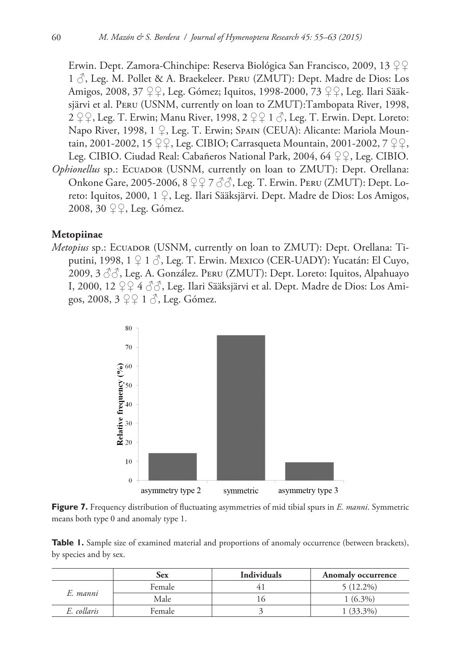Erwin. Dept. Zamora-Chinchipe: Reserva Biológica San Francisco, 2009, 13 ♀♀ 1 ♂, Leg. M. Pollet & A. Braekeleer. Peru (ZMUT): Dept. Madre de Dios: Los Amigos, 2008, 37 ♀♀, Leg. Gómez; Iquitos, 1998-2000, 73 ♀♀, Leg. Ilari Sääksjärvi et al. Peru (USNM, currently on loan to ZMUT):Tambopata River, 1998, 2  $\varphi$ , Leg. T. Erwin; Manu River, 1998, 2  $\varphi$  1  $\Diamond$ , Leg. T. Erwin. Dept. Loreto: Napo River, 1998, 1 ♀, Leg. T. Erwin; Spain (CEUA): Alicante: Mariola Mountain, 2001-2002, 15 ♀♀, Leg. CIBIO; Carrasqueta Mountain, 2001-2002, 7 ♀♀, Leg. CIBIO. Ciudad Real: Cabañeros National Park, 2004, 64 ♀♀, Leg. CIBIO. *Ophionellus* sp.: ECUADOR (USNM, currently on loan to ZMUT): Dept. Orellana: Onkone Gare, 2005-2006, 8 ♀♀ 7 ♂♂, Leg. T. Erwin. Peru (ZMUT): Dept. Loreto: Iquitos, 2000, 1 ♀, Leg. Ilari Sääksjärvi. Dept. Madre de Dios: Los Amigos, 2008, 30 ♀♀, Leg. Gómez.

#### **Metopiinae**

*Metopius* sp.: ECUADOR (USNM, currently on loan to ZMUT): Dept. Orellana: Tiputini, 1998,  $1 \nsubseteq 1 \nsubseteq$ , Leg. T. Erwin. Mexico (CER-UADY): Yucatán: El Cuyo, 2009, 3 ♂♂, Leg. A. González. Peru (ZMUT): Dept. Loreto: Iquitos, Alpahuayo I, 2000, 12 ♀♀ 4 ♂♂, Leg. Ilari Sääksjärvi et al. Dept. Madre de Dios: Los Amigos, 2008, 3 ♀♀ 1 ♂, Leg. Gómez.



**Figure 7.** Frequency distribution of fluctuating asymmetries of mid tibial spurs in *E. manni*. Symmetric means both type 0 and anomaly type 1.

**Table 1.** Sample size of examined material and proportions of anomaly occurrence (between brackets), by species and by sex.

|             | Sex    | <b>Individuals</b> | Anomaly occurrence |
|-------------|--------|--------------------|--------------------|
| E. manni    | Female |                    | $5(12.2\%)$        |
|             | Male   |                    | $1(6.3\%)$         |
| E. collaris | Female |                    | $1(33,3\%)$        |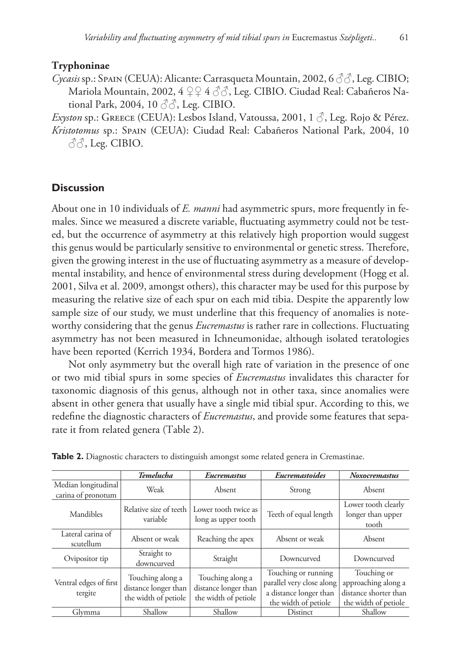# **Tryphoninae**

*Cycasis* sp.: Spain (CEUA): Alicante: Carrasqueta Mountain, 2002, 6 ♂♂, Leg. CIBIO; Mariola Mountain, 2002, 4 ♀♀ 4 ♂♂, Leg. CIBIO. Ciudad Real: Cabañeros National Park, 2004, 10  $\Im$ , Leg. CIBIO.

*Exyston* sp.: Greece (CEUA): Lesbos Island, Vatoussa, 2001, 1 ♂, Leg. Rojo & Pérez. *Kristotomus* sp.: Spain (CEUA): Ciudad Real: Cabañeros National Park, 2004, 10  $\partial \partial$ , Leg. CIBIO.

# **Discussion**

About one in 10 individuals of *E. manni* had asymmetric spurs, more frequently in females. Since we measured a discrete variable, fluctuating asymmetry could not be tested, but the occurrence of asymmetry at this relatively high proportion would suggest this genus would be particularly sensitive to environmental or genetic stress. Therefore, given the growing interest in the use of fluctuating asymmetry as a measure of developmental instability, and hence of environmental stress during development (Hogg et al. 2001, Silva et al. 2009, amongst others), this character may be used for this purpose by measuring the relative size of each spur on each mid tibia. Despite the apparently low sample size of our study, we must underline that this frequency of anomalies is noteworthy considering that the genus *Eucremastus* is rather rare in collections. Fluctuating asymmetry has not been measured in Ichneumonidae, although isolated teratologies have been reported (Kerrich 1934, Bordera and Tormos 1986).

Not only asymmetry but the overall high rate of variation in the presence of one or two mid tibial spurs in some species of *Eucremastus* invalidates this character for taxonomic diagnosis of this genus, although not in other taxa, since anomalies were absent in other genera that usually have a single mid tibial spur. According to this, we redefine the diagnostic characters of *Eucremastus*, and provide some features that separate it from related genera (Table 2).

|                                           | Temelucha                                                        | <b>Eucremastus</b>                                               | Eucremastoides                                                                                     | <b>Noxocremastus</b>                                                                |
|-------------------------------------------|------------------------------------------------------------------|------------------------------------------------------------------|----------------------------------------------------------------------------------------------------|-------------------------------------------------------------------------------------|
| Median longitudinal<br>carina of pronotum | Weak                                                             | Absent                                                           | Strong                                                                                             | Absent                                                                              |
| Mandibles                                 | Relative size of teeth<br>variable                               | Lower tooth twice as<br>long as upper tooth                      | Teeth of equal length                                                                              | Lower tooth clearly<br>longer than upper<br>tooth                                   |
| Lateral carina of<br>scutellum            | Absent or weak                                                   | Reaching the apex                                                | Absent or weak                                                                                     | Absent                                                                              |
| Ovipositor tip                            | Straight to<br>downcurved                                        | Straight                                                         | Downcurved                                                                                         | Downcurved                                                                          |
| Ventral edges of first<br>tergite         | Touching along a<br>distance longer than<br>the width of petiole | Touching along a<br>distance longer than<br>the width of petiole | Touching or running<br>parallel very close along<br>a distance longer than<br>the width of petiole | Touching or<br>approaching along a<br>distance shorter than<br>the width of petiole |
| Glymma                                    | Shallow                                                          | Shallow                                                          | Distinct                                                                                           | Shallow                                                                             |

**Table 2.** Diagnostic characters to distinguish amongst some related genera in Cremastinae.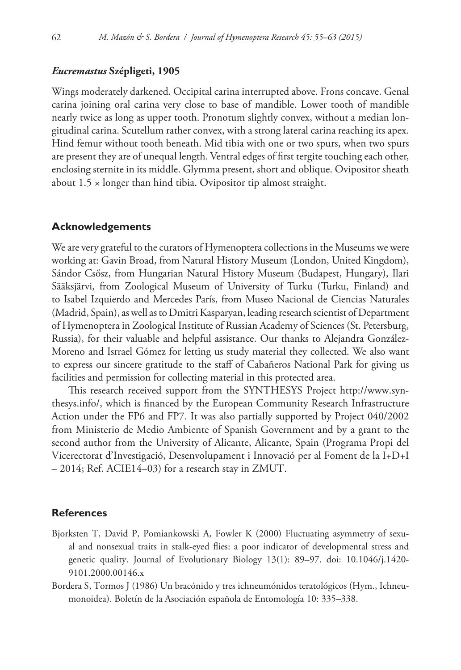## *Eucremastus* **Szépligeti, 1905**

Wings moderately darkened. Occipital carina interrupted above. Frons concave. Genal carina joining oral carina very close to base of mandible. Lower tooth of mandible nearly twice as long as upper tooth. Pronotum slightly convex, without a median longitudinal carina. Scutellum rather convex, with a strong lateral carina reaching its apex. Hind femur without tooth beneath. Mid tibia with one or two spurs, when two spurs are present they are of unequal length. Ventral edges of first tergite touching each other, enclosing sternite in its middle. Glymma present, short and oblique. Ovipositor sheath about 1.5 × longer than hind tibia. Ovipositor tip almost straight.

## **Acknowledgements**

We are very grateful to the curators of Hymenoptera collections in the Museums we were working at: Gavin Broad, from Natural History Museum (London, United Kingdom), Sándor Csősz, from Hungarian Natural History Museum (Budapest, Hungary), Ilari Sääksjärvi, from Zoological Museum of University of Turku (Turku, Finland) and to Isabel Izquierdo and Mercedes París, from Museo Nacional de Ciencias Naturales (Madrid, Spain), as well as to Dmitri Kasparyan, leading research scientist of Department of Hymenoptera in Zoological Institute of Russian Academy of Sciences (St. Petersburg, Russia), for their valuable and helpful assistance. Our thanks to Alejandra González-Moreno and Isrrael Gómez for letting us study material they collected. We also want to express our sincere gratitude to the staff of Cabañeros National Park for giving us facilities and permission for collecting material in this protected area.

This research received support from the SYNTHESYS Project [http://www.syn](http://www.synthesys.info/)[thesys.info/](http://www.synthesys.info/), which is financed by the European Community Research Infrastructure Action under the FP6 and FP7. It was also partially supported by Project 040/2002 from Ministerio de Medio Ambiente of Spanish Government and by a grant to the second author from the University of Alicante, Alicante, Spain (Programa Propi del Vicerectorat d'Investigació, Desenvolupament i Innovació per al Foment de la I+D+I – 2014; Ref. ACIE14–03) for a research stay in ZMUT.

## **References**

- Bjorksten T, David P, Pomiankowski A, Fowler K (2000) Fluctuating asymmetry of sexual and nonsexual traits in stalk-eyed flies: a poor indicator of developmental stress and genetic quality. Journal of Evolutionary Biology 13(1): 89–97. [doi: 10.1046/j.1420-](http://dx.doi.org/10.1046/j.1420-9101.2000.00146.x) [9101.2000.00146.x](http://dx.doi.org/10.1046/j.1420-9101.2000.00146.x)
- Bordera S, Tormos J (1986) Un bracónido y tres ichneumónidos teratológicos (Hym., Ichneumonoidea). Boletín de la Asociación española de Entomología 10: 335–338.